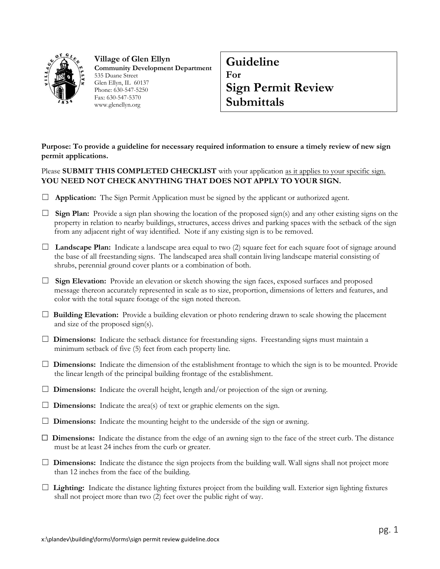

**Village of Glen Ellyn Community Development Department** 535 Duane Street Glen Ellyn, IL 60137 Phone: 630-547-5250 Fax: 630-547-5370 www.glenellyn.org

## **Guideline For Sign Permit Review Submittals**

**Purpose: To provide a guideline for necessary required information to ensure a timely review of new sign permit applications.**

Please **SUBMIT THIS COMPLETED CHECKLIST** with your application as it applies to your specific sign. **YOU NEED NOT CHECK ANYTHING THAT DOES NOT APPLY TO YOUR SIGN.**

- □ **Application:** The Sign Permit Application must be signed by the applicant or authorized agent.
- □ **Sign Plan:** Provide a sign plan showing the location of the proposed sign(s) and any other existing signs on the property in relation to nearby buildings, structures, access drives and parking spaces with the setback of the sign from any adjacent right of way identified. Note if any existing sign is to be removed.
- ☐ **Landscape Plan:** Indicate a landscape area equal to two (2) square feet for each square foot of signage around the base of all freestanding signs. The landscaped area shall contain living landscape material consisting of shrubs, perennial ground cover plants or a combination of both.
- □ **Sign Elevation:** Provide an elevation or sketch showing the sign faces, exposed surfaces and proposed message thereon accurately represented in scale as to size, proportion, dimensions of letters and features, and color with the total square footage of the sign noted thereon.
- ☐ **Building Elevation:** Provide a building elevation or photo rendering drawn to scale showing the placement and size of the proposed sign(s).
- □ **Dimensions:** Indicate the setback distance for freestanding signs. Freestanding signs must maintain a minimum setback of five (5) feet from each property line.
- ☐ **Dimensions:** Indicate the dimension of the establishment frontage to which the sign is to be mounted. Provide the linear length of the principal building frontage of the establishment.
- $\Box$  **Dimensions:** Indicate the overall height, length and/or projection of the sign or awning.
- $\Box$  **Dimensions:** Indicate the area(s) of text or graphic elements on the sign.
- $\Box$  **Dimensions:** Indicate the mounting height to the underside of the sign or awning.
- ☐ **Dimensions:** Indicate the distance from the edge of an awning sign to the face of the street curb. The distance must be at least 24 inches from the curb or greater.
- $\Box$  **Dimensions:** Indicate the distance the sign projects from the building wall. Wall signs shall not project more than 12 inches from the face of the building.
- ☐ **Lighting:** Indicate the distance lighting fixtures project from the building wall. Exterior sign lighting fixtures shall not project more than two (2) feet over the public right of way.